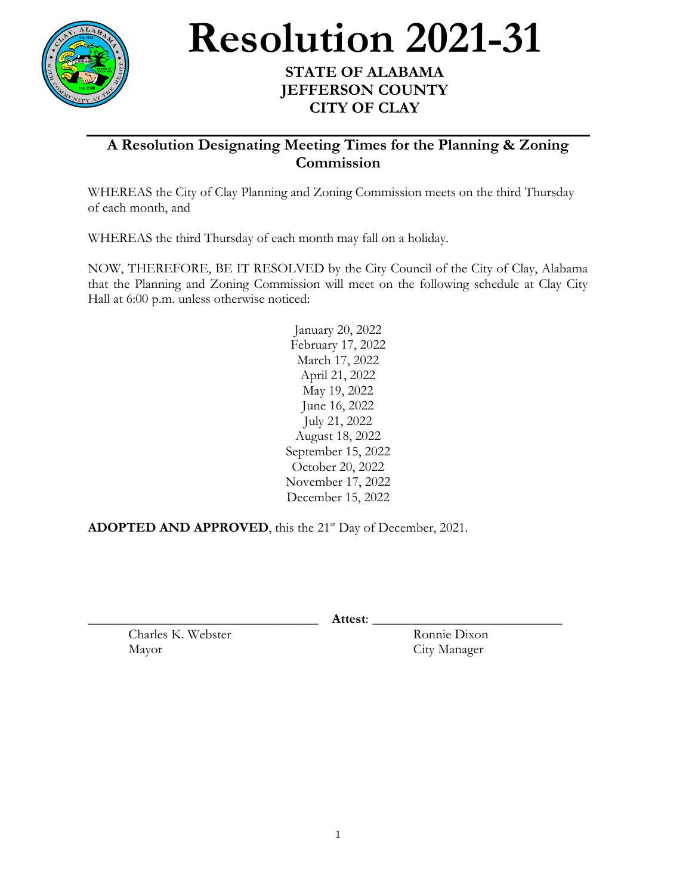

## **Resolution 2021-31**

## **STATE OF ALABAMA JEFFERSON COUNTY CITY OF CLAY**

## **A Resolution Designating Meeting Times for the Planning & Zoning Commission**

WHEREAS the City of Clay Planning and Zoning Commission meets on the third Thursday of each month, and

WHEREAS the third Thursday of each month may fall on a holiday.

NOW, THEREFORE, BE IT RESOLVED by the City Council of the City of Clay, Alabama that the Planning and Zoning Commission will meet on the following schedule at Clay City Hall at 6:00 p.m. unless otherwise noticed:

> January 20, 2022 February 17, 2022 March 17, 2022 April 21, 2022 May 19, 2022 June 16, 2022 July 21, 2022 August 18, 2022 September 15, 2022 October 20, 2022 November 17, 2022 December 15, 2022

**ADOPTED AND APPROVED**, this the 21<sup>st</sup> Day of December, 2021.

\_\_\_\_\_\_\_\_\_\_\_\_\_\_\_\_\_\_\_\_\_\_\_\_\_\_\_\_\_\_\_\_\_\_ **Attest**: \_\_\_\_\_\_\_\_\_\_\_\_\_\_\_\_\_\_\_\_\_\_\_\_\_\_\_\_

Charles K. Webster Ronnie Dixon Mayor City Manager